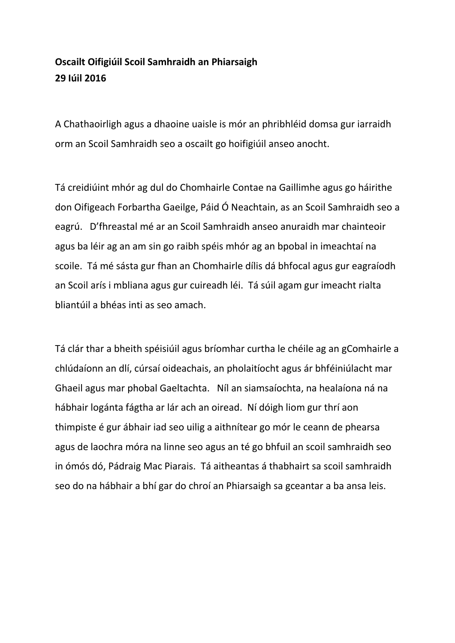## **Oscailt Oifigiúil Scoil Samhraidh an Phiarsaigh 29 Iúil 2016**

A Chathaoirligh agus a dhaoine uaisle is mór an phribhléid domsa gur iarraidh orm an Scoil Samhraidh seo a oscailt go hoifigiúil anseo anocht.

Tá creidiúint mhór ag dul do Chomhairle Contae na Gaillimhe agus go háirithe don Oifigeach Forbartha Gaeilge, Páid Ó Neachtain, as an Scoil Samhraidh seo a eagrú. D'fhreastal mé ar an Scoil Samhraidh anseo anuraidh mar chainteoir agus ba léir ag an am sin go raibh spéis mhór ag an bpobal in imeachtaí na scoile. Tá mé sásta gur fhan an Chomhairle dílis dá bhfocal agus gur eagraíodh an Scoil arís i mbliana agus gur cuireadh léi. Tá súil agam gur imeacht rialta bliantúil a bhéas inti as seo amach.

Tá clár thar a bheith spéisiúil agus bríomhar curtha le chéile ag an gComhairle a chlúdaíonn an dlí, cúrsaí oideachais, an pholaitíocht agus ár bhféiniúlacht mar Ghaeil agus mar phobal Gaeltachta. Níl an siamsaíochta, na healaíona ná na hábhair logánta fágtha ar lár ach an oiread. Ní dóigh liom gur thrí aon thimpiste é gur ábhair iad seo uilig a aithnítear go mór le ceann de phearsa agus de laochra móra na linne seo agus an té go bhfuil an scoil samhraidh seo in ómós dó, Pádraig Mac Piarais. Tá aitheantas á thabhairt sa scoil samhraidh seo do na hábhair a bhí gar do chroí an Phiarsaigh sa gceantar a ba ansa leis.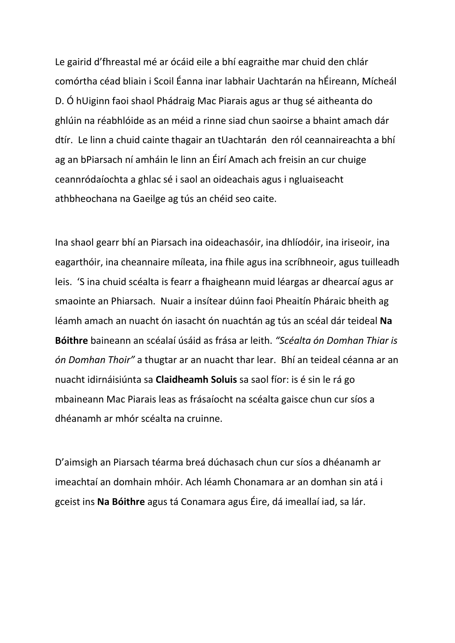Le gairid d'fhreastal mé ar ócáid eile a bhí eagraithe mar chuid den chlár comórtha céad bliain i Scoil Éanna inar labhair Uachtarán na hÉireann, Mícheál D. Ó hUiginn faoi shaol Phádraig Mac Piarais agus ar thug sé aitheanta do ghlúin na réabhlóide as an méid a rinne siad chun saoirse a bhaint amach dár dtír. Le linn a chuid cainte thagair an tUachtarán den ról ceannaireachta a bhí ag an bPiarsach ní amháin le linn an Éirí Amach ach freisin an cur chuige ceannródaíochta a ghlac sé i saol an oideachais agus i ngluaiseacht athbheochana na Gaeilge ag tús an chéid seo caite.

Ina shaol gearr bhí an Piarsach ina oideachasóir, ina dhlíodóir, ina iriseoir, ina eagarthóir, ina cheannaire míleata, ina fhile agus ina scríbhneoir, agus tuilleadh leis. 'S ina chuid scéalta is fearr a fhaigheann muid léargas ar dhearcaí agus ar smaointe an Phiarsach. Nuair a insítear dúinn faoi Pheaitín Pháraic bheith ag léamh amach an nuacht ón iasacht ón nuachtán ag tús an scéal dár teideal **Na Bóithre** baineann an scéalaí úsáid as frása ar leith. *"Scéalta ón Domhan Thiar is ón Domhan Thoir"* a thugtar ar an nuacht thar lear. Bhí an teideal céanna ar an nuacht idirnáisiúnta sa **Claidheamh Soluis** sa saol fíor: is é sin le rá go mbaineann Mac Piarais leas as frásaíocht na scéalta gaisce chun cur síos a dhéanamh ar mhór scéalta na cruinne.

D'aimsigh an Piarsach téarma breá dúchasach chun cur síos a dhéanamh ar imeachtaí an domhain mhóir. Ach léamh Chonamara ar an domhan sin atá i gceist ins **Na Bóithre** agus tá Conamara agus Éire, dá imeallaí iad, sa lár.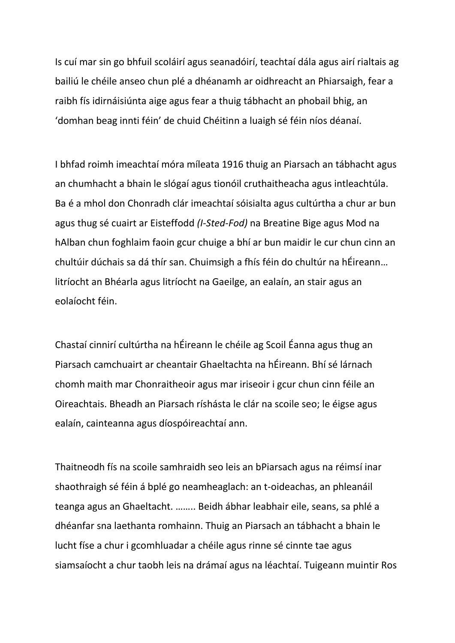Is cuí mar sin go bhfuil scoláirí agus seanadóirí, teachtaí dála agus airí rialtais ag bailiú le chéile anseo chun plé a dhéanamh ar oidhreacht an Phiarsaigh, fear a raibh fís idirnáisiúnta aige agus fear a thuig tábhacht an phobail bhig, an 'domhan beag innti féin' de chuid Chéitinn a luaigh sé féin níos déanaí.

I bhfad roimh imeachtaí móra míleata 1916 thuig an Piarsach an tábhacht agus an chumhacht a bhain le slógaí agus tionóil cruthaitheacha agus intleachtúla. Ba é a mhol don Chonradh clár imeachtaí sóisialta agus cultúrtha a chur ar bun agus thug sé cuairt ar Eisteffodd *(I-Sted-Fod)* na Breatine Bige agus Mod na hAlban chun foghlaim faoin gcur chuige a bhí ar bun maidir le cur chun cinn an chultúir dúchais sa dá thír san. Chuimsigh a fhís féin do chultúr na hÉireann… litríocht an Bhéarla agus litríocht na Gaeilge, an ealaín, an stair agus an eolaíocht féin.

Chastaí cinnirí cultúrtha na hÉireann le chéile ag Scoil Éanna agus thug an Piarsach camchuairt ar cheantair Ghaeltachta na hÉireann. Bhí sé lárnach chomh maith mar Chonraitheoir agus mar iriseoir i gcur chun cinn féile an Oireachtais. Bheadh an Piarsach ríshásta le clár na scoile seo; le éigse agus ealaín, cainteanna agus díospóireachtaí ann.

Thaitneodh fís na scoile samhraidh seo leis an bPiarsach agus na réimsí inar shaothraigh sé féin á bplé go neamheaglach: an t-oideachas, an phleanáil teanga agus an Ghaeltacht. …….. Beidh ábhar leabhair eile, seans, sa phlé a dhéanfar sna laethanta romhainn. Thuig an Piarsach an tábhacht a bhain le lucht físe a chur i gcomhluadar a chéile agus rinne sé cinnte tae agus siamsaíocht a chur taobh leis na drámaí agus na léachtaí. Tuigeann muintir Ros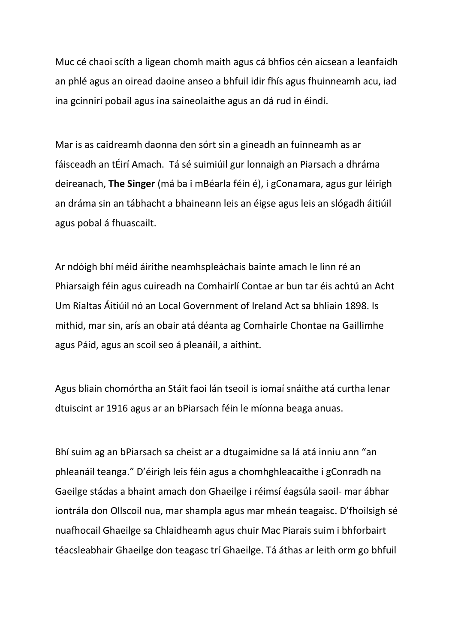Muc cé chaoi scíth a ligean chomh maith agus cá bhfios cén aicsean a leanfaidh an phlé agus an oiread daoine anseo a bhfuil idir fhís agus fhuinneamh acu, iad ina gcinnirí pobail agus ina saineolaithe agus an dá rud in éindí.

Mar is as caidreamh daonna den sórt sin a gineadh an fuinneamh as ar fáisceadh an tÉirí Amach. Tá sé suimiúil gur lonnaigh an Piarsach a dhráma deireanach, **The Singer** (má ba i mBéarla féin é), i gConamara, agus gur léirigh an dráma sin an tábhacht a bhaineann leis an éigse agus leis an slógadh áitiúil agus pobal á fhuascailt.

Ar ndóigh bhí méid áirithe neamhspleáchais bainte amach le linn ré an Phiarsaigh féin agus cuireadh na Comhairlí Contae ar bun tar éis achtú an Acht Um Rialtas Áitiúil nó an Local Government of Ireland Act sa bhliain 1898. Is mithid, mar sin, arís an obair atá déanta ag Comhairle Chontae na Gaillimhe agus Páid, agus an scoil seo á pleanáil, a aithint.

Agus bliain chomórtha an Stáit faoi lán tseoil is iomaí snáithe atá curtha lenar dtuiscint ar 1916 agus ar an bPiarsach féin le míonna beaga anuas.

Bhí suim ag an bPiarsach sa cheist ar a dtugaimidne sa lá atá inniu ann "an phleanáil teanga." D'éirigh leis féin agus a chomhghleacaithe i gConradh na Gaeilge stádas a bhaint amach don Ghaeilge i réimsí éagsúla saoil- mar ábhar iontrála don Ollscoil nua, mar shampla agus mar mheán teagaisc. D'fhoilsigh sé nuafhocail Ghaeilge sa Chlaidheamh agus chuir Mac Piarais suim i bhforbairt téacsleabhair Ghaeilge don teagasc trí Ghaeilge. Tá áthas ar leith orm go bhfuil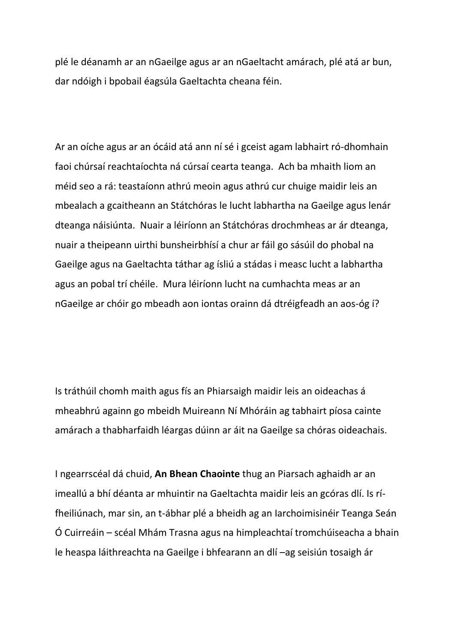plé le déanamh ar an nGaeilge agus ar an nGaeltacht amárach, plé atá ar bun, dar ndóigh i bpobail éagsúla Gaeltachta cheana féin.

Ar an oíche agus ar an ócáid atá ann ní sé i gceist agam labhairt ró-dhomhain faoi chúrsaí reachtaíochta ná cúrsaí cearta teanga. Ach ba mhaith liom an méid seo a rá: teastaíonn athrú meoin agus athrú cur chuige maidir leis an mbealach a gcaitheann an Státchóras le lucht labhartha na Gaeilge agus lenár dteanga náisiúnta. Nuair a léiríonn an Státchóras drochmheas ar ár dteanga, nuair a theipeann uirthi bunsheirbhísí a chur ar fáil go sásúil do phobal na Gaeilge agus na Gaeltachta táthar ag ísliú a stádas i measc lucht a labhartha agus an pobal trí chéile. Mura léiríonn lucht na cumhachta meas ar an nGaeilge ar chóir go mbeadh aon iontas orainn dá dtréigfeadh an aos-óg í?

Is tráthúil chomh maith agus fís an Phiarsaigh maidir leis an oideachas á mheabhrú againn go mbeidh Muireann Ní Mhóráin ag tabhairt píosa cainte amárach a thabharfaidh léargas dúinn ar áit na Gaeilge sa chóras oideachais.

I ngearrscéal dá chuid, **An Bhean Chaointe** thug an Piarsach aghaidh ar an imeallú a bhí déanta ar mhuintir na Gaeltachta maidir leis an gcóras dlí. Is rífheiliúnach, mar sin, an t-ábhar plé a bheidh ag an Iarchoimisinéir Teanga Seán Ó Cuirreáin – scéal Mhám Trasna agus na himpleachtaí tromchúiseacha a bhain le heaspa láithreachta na Gaeilge i bhfearann an dlí –ag seisiún tosaigh ár